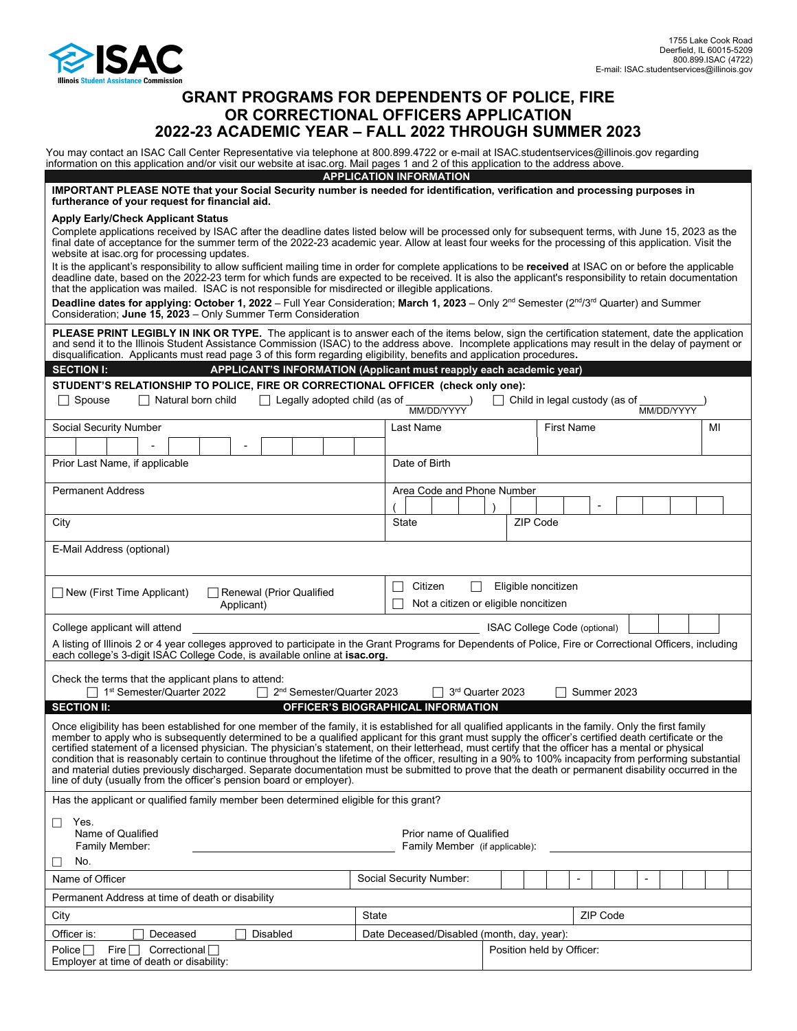

# **GRANT PROGRAMS FOR DEPENDENTS OF POLICE, FIRE OR CORRECTIONAL OFFICERS APPLICATION 2022-23 ACADEMIC YEAR – FALL 2022 THROUGH SUMMER 2023**

You may contact an ISAC Call Center Representative via telephone at 800.899.4722 or e-mail at ISAC.studentservices@illinois.gov regarding information on this application and/or visit our website at isac.org. Mail pages 1 and 2 of this application to the address above.

| IMPORTANT PLEASE NOTE that your Social Security number is needed for identification, verification and processing purposes in<br>furtherance of your request for financial aid.                                                                                                                                                                                                                                                                                                                                                                                                                                                                                                                                                                                                                                                                                        |                                                                    | <b>APPLICATION INFORMATION</b> |  |  |  |                   |  |  |  |  |  |    |  |  |
|-----------------------------------------------------------------------------------------------------------------------------------------------------------------------------------------------------------------------------------------------------------------------------------------------------------------------------------------------------------------------------------------------------------------------------------------------------------------------------------------------------------------------------------------------------------------------------------------------------------------------------------------------------------------------------------------------------------------------------------------------------------------------------------------------------------------------------------------------------------------------|--------------------------------------------------------------------|--------------------------------|--|--|--|-------------------|--|--|--|--|--|----|--|--|
| <b>Apply Early/Check Applicant Status</b><br>Complete applications received by ISAC after the deadline dates listed below will be processed only for subsequent terms, with June 15, 2023 as the<br>final date of acceptance for the summer term of the 2022-23 academic year. Allow at least four weeks for the processing of this application. Visit the<br>website at isac org for processing updates.                                                                                                                                                                                                                                                                                                                                                                                                                                                             |                                                                    |                                |  |  |  |                   |  |  |  |  |  |    |  |  |
| It is the applicant's responsibility to allow sufficient mailing time in order for complete applications to be received at ISAC on or before the applicable<br>deadline date, based on the 2022-23 term for which funds are expected to be received. It is also the applicant's responsibility to retain documentation<br>that the application was mailed. ISAC is not responsible for misdirected or illegible applications.                                                                                                                                                                                                                                                                                                                                                                                                                                         |                                                                    |                                |  |  |  |                   |  |  |  |  |  |    |  |  |
| Deadline dates for applying: October 1, 2022 – Full Year Consideration; March 1, 2023 – Only 2 <sup>nd</sup> Semester (2 <sup>nd</sup> /3 <sup>rd</sup> Quarter) and Summer<br>Consideration; June 15, 2023 - Only Summer Term Consideration                                                                                                                                                                                                                                                                                                                                                                                                                                                                                                                                                                                                                          |                                                                    |                                |  |  |  |                   |  |  |  |  |  |    |  |  |
| PLEASE PRINT LEGIBLY IN INK OR TYPE. The applicant is to answer each of the items below, sign the certification statement, date the application<br>and send it to the Illinois Student Assistance Commission (ISAC) to the address above. Incomplete applications may result in the delay of payment or<br>disqualification. Applicants must read page 3 of this form regarding eligibility, benefits and application procedures.                                                                                                                                                                                                                                                                                                                                                                                                                                     |                                                                    |                                |  |  |  |                   |  |  |  |  |  |    |  |  |
| <b>SECTION I:</b><br>APPLICANT'S INFORMATION (Applicant must reapply each academic year)                                                                                                                                                                                                                                                                                                                                                                                                                                                                                                                                                                                                                                                                                                                                                                              |                                                                    |                                |  |  |  |                   |  |  |  |  |  |    |  |  |
| STUDENT'S RELATIONSHIP TO POLICE, FIRE OR CORRECTIONAL OFFICER (check only one):                                                                                                                                                                                                                                                                                                                                                                                                                                                                                                                                                                                                                                                                                                                                                                                      |                                                                    |                                |  |  |  |                   |  |  |  |  |  |    |  |  |
| $\Box$ Natural born child<br>$\Box$ Legally adopted child (as of<br>□ Child in legal custody (as of<br>Spouse<br>MM/DD/YYYY<br>MM/DD/YYYY                                                                                                                                                                                                                                                                                                                                                                                                                                                                                                                                                                                                                                                                                                                             |                                                                    |                                |  |  |  |                   |  |  |  |  |  |    |  |  |
| Social Security Number                                                                                                                                                                                                                                                                                                                                                                                                                                                                                                                                                                                                                                                                                                                                                                                                                                                |                                                                    | Last Name                      |  |  |  | <b>First Name</b> |  |  |  |  |  | MI |  |  |
|                                                                                                                                                                                                                                                                                                                                                                                                                                                                                                                                                                                                                                                                                                                                                                                                                                                                       |                                                                    |                                |  |  |  |                   |  |  |  |  |  |    |  |  |
| Prior Last Name, if applicable                                                                                                                                                                                                                                                                                                                                                                                                                                                                                                                                                                                                                                                                                                                                                                                                                                        |                                                                    | Date of Birth                  |  |  |  |                   |  |  |  |  |  |    |  |  |
| <b>Permanent Address</b>                                                                                                                                                                                                                                                                                                                                                                                                                                                                                                                                                                                                                                                                                                                                                                                                                                              |                                                                    | Area Code and Phone Number     |  |  |  |                   |  |  |  |  |  |    |  |  |
| City                                                                                                                                                                                                                                                                                                                                                                                                                                                                                                                                                                                                                                                                                                                                                                                                                                                                  |                                                                    | State                          |  |  |  | ZIP Code          |  |  |  |  |  |    |  |  |
| E-Mail Address (optional)                                                                                                                                                                                                                                                                                                                                                                                                                                                                                                                                                                                                                                                                                                                                                                                                                                             |                                                                    |                                |  |  |  |                   |  |  |  |  |  |    |  |  |
|                                                                                                                                                                                                                                                                                                                                                                                                                                                                                                                                                                                                                                                                                                                                                                                                                                                                       |                                                                    |                                |  |  |  |                   |  |  |  |  |  |    |  |  |
| Eligible noncitizen<br>Citizen<br>$\Box$<br><b>Renewal (Prior Qualified</b><br>□ New (First Time Applicant)<br>Not a citizen or eligible noncitizen<br>Applicant)                                                                                                                                                                                                                                                                                                                                                                                                                                                                                                                                                                                                                                                                                                     |                                                                    |                                |  |  |  |                   |  |  |  |  |  |    |  |  |
| College applicant will attend<br>ISAC College Code (optional)                                                                                                                                                                                                                                                                                                                                                                                                                                                                                                                                                                                                                                                                                                                                                                                                         |                                                                    |                                |  |  |  |                   |  |  |  |  |  |    |  |  |
| A listing of Illinois 2 or 4 year colleges approved to participate in the Grant Programs for Dependents of Police, Fire or Correctional Officers, including<br>each college's 3-digit ISAC College Code, is available online at <b>isac.org.</b>                                                                                                                                                                                                                                                                                                                                                                                                                                                                                                                                                                                                                      |                                                                    |                                |  |  |  |                   |  |  |  |  |  |    |  |  |
| Check the terms that the applicant plans to attend:                                                                                                                                                                                                                                                                                                                                                                                                                                                                                                                                                                                                                                                                                                                                                                                                                   |                                                                    |                                |  |  |  |                   |  |  |  |  |  |    |  |  |
| 1 <sup>st</sup> Semester/Quarter 2022<br>2 <sup>nd</sup> Semester/Quarter 2023<br>3rd Quarter 2023<br>Summer 2023<br><b>SECTION II:</b><br>OFFICER'S BIOGRAPHICAL INFORMATION                                                                                                                                                                                                                                                                                                                                                                                                                                                                                                                                                                                                                                                                                         |                                                                    |                                |  |  |  |                   |  |  |  |  |  |    |  |  |
|                                                                                                                                                                                                                                                                                                                                                                                                                                                                                                                                                                                                                                                                                                                                                                                                                                                                       |                                                                    |                                |  |  |  |                   |  |  |  |  |  |    |  |  |
| Once eligibility has been established for one member of the family, it is established for all qualified applicants in the family. Only the first family<br>member to apply who is subsequently determined to be a qualified applicant for this grant must supply the officer's certified death certificate or the<br>certified statement of a licensed physician. The physician's statement, on their letterhead, must certify that the officer has a mental or physical<br>condition that is reasonably certain to continue throughout the lifetime of the officer, resulting in a 90% to 100% incapacity from performing substantial<br>and material duties previously discharged. Separate documentation must be submitted to prove that the death or permanent disability occurred in the<br>line of duty (usually from the officer's pension board or employer). |                                                                    |                                |  |  |  |                   |  |  |  |  |  |    |  |  |
| Has the applicant or qualified family member been determined eligible for this grant?                                                                                                                                                                                                                                                                                                                                                                                                                                                                                                                                                                                                                                                                                                                                                                                 |                                                                    |                                |  |  |  |                   |  |  |  |  |  |    |  |  |
| Yes.<br>$\Box$<br>Name of Qualified<br>Prior name of Qualified<br>Family Member:<br>Family Member (if applicable):                                                                                                                                                                                                                                                                                                                                                                                                                                                                                                                                                                                                                                                                                                                                                    |                                                                    |                                |  |  |  |                   |  |  |  |  |  |    |  |  |
| No.<br>⊔                                                                                                                                                                                                                                                                                                                                                                                                                                                                                                                                                                                                                                                                                                                                                                                                                                                              |                                                                    |                                |  |  |  |                   |  |  |  |  |  |    |  |  |
| Name of Officer                                                                                                                                                                                                                                                                                                                                                                                                                                                                                                                                                                                                                                                                                                                                                                                                                                                       |                                                                    | Social Security Number:        |  |  |  |                   |  |  |  |  |  |    |  |  |
| Permanent Address at time of death or disability                                                                                                                                                                                                                                                                                                                                                                                                                                                                                                                                                                                                                                                                                                                                                                                                                      |                                                                    |                                |  |  |  |                   |  |  |  |  |  |    |  |  |
| City                                                                                                                                                                                                                                                                                                                                                                                                                                                                                                                                                                                                                                                                                                                                                                                                                                                                  |                                                                    | <b>ZIP Code</b><br>State       |  |  |  |                   |  |  |  |  |  |    |  |  |
| Officer is:                                                                                                                                                                                                                                                                                                                                                                                                                                                                                                                                                                                                                                                                                                                                                                                                                                                           | Disabled<br>Deceased<br>Date Deceased/Disabled (month, day, year): |                                |  |  |  |                   |  |  |  |  |  |    |  |  |
| Fire $\Box$<br>Position held by Officer:<br>Police $\Box$<br>Correctional                                                                                                                                                                                                                                                                                                                                                                                                                                                                                                                                                                                                                                                                                                                                                                                             |                                                                    |                                |  |  |  |                   |  |  |  |  |  |    |  |  |
| Employer at time of death or disability:                                                                                                                                                                                                                                                                                                                                                                                                                                                                                                                                                                                                                                                                                                                                                                                                                              |                                                                    |                                |  |  |  |                   |  |  |  |  |  |    |  |  |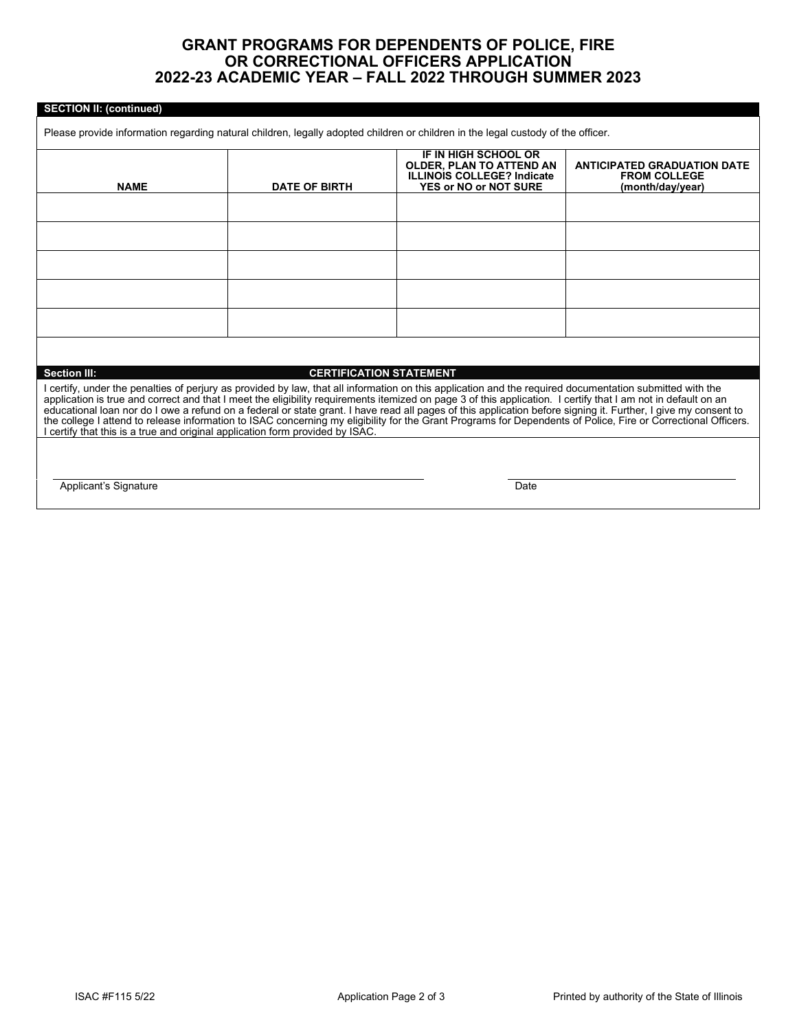## **GRANT PROGRAMS FOR DEPENDENTS OF POLICE, FIRE OR CORRECTIONAL OFFICERS APPLICATION 2022-23 ACADEMIC YEAR – FALL 2022 THROUGH SUMMER 2023**

#### **SECTION II: (continued)**

Please provide information regarding natural children, legally adopted children or children in the legal custody of the officer.

| <b>NAME</b>                                                                                                                                                                                                                                                                                                                                                                                                                                                                                                                                                                                                                                                                                                                                   | <b>DATE OF BIRTH</b> | IF IN HIGH SCHOOL OR<br><b>OLDER, PLAN TO ATTEND AN</b><br><b>ILLINOIS COLLEGE? Indicate</b><br><b>YES or NO or NOT SURE</b> | <b>ANTICIPATED GRADUATION DATE</b><br><b>FROM COLLEGE</b><br>(month/day/year) |  |  |  |  |  |
|-----------------------------------------------------------------------------------------------------------------------------------------------------------------------------------------------------------------------------------------------------------------------------------------------------------------------------------------------------------------------------------------------------------------------------------------------------------------------------------------------------------------------------------------------------------------------------------------------------------------------------------------------------------------------------------------------------------------------------------------------|----------------------|------------------------------------------------------------------------------------------------------------------------------|-------------------------------------------------------------------------------|--|--|--|--|--|
|                                                                                                                                                                                                                                                                                                                                                                                                                                                                                                                                                                                                                                                                                                                                               |                      |                                                                                                                              |                                                                               |  |  |  |  |  |
|                                                                                                                                                                                                                                                                                                                                                                                                                                                                                                                                                                                                                                                                                                                                               |                      |                                                                                                                              |                                                                               |  |  |  |  |  |
|                                                                                                                                                                                                                                                                                                                                                                                                                                                                                                                                                                                                                                                                                                                                               |                      |                                                                                                                              |                                                                               |  |  |  |  |  |
|                                                                                                                                                                                                                                                                                                                                                                                                                                                                                                                                                                                                                                                                                                                                               |                      |                                                                                                                              |                                                                               |  |  |  |  |  |
|                                                                                                                                                                                                                                                                                                                                                                                                                                                                                                                                                                                                                                                                                                                                               |                      |                                                                                                                              |                                                                               |  |  |  |  |  |
|                                                                                                                                                                                                                                                                                                                                                                                                                                                                                                                                                                                                                                                                                                                                               |                      |                                                                                                                              |                                                                               |  |  |  |  |  |
| <b>Section III:</b><br><b>CERTIFICATION STATEMENT</b>                                                                                                                                                                                                                                                                                                                                                                                                                                                                                                                                                                                                                                                                                         |                      |                                                                                                                              |                                                                               |  |  |  |  |  |
| I certify, under the penalties of perjury as provided by law, that all information on this application and the required documentation submitted with the<br>application is true and correct and that I meet the eligibility requirements itemized on page 3 of this application. I certify that I am not in default on an<br>educational loan nor do I owe a refund on a federal or state grant. I have read all pages of this application before signing it. Further, I give my consent to<br>the college I attend to release information to ISAC concerning my eligibility for the Grant Programs for Dependents of Police. Fire or Correctional Officers.<br>I certify that this is a true and original application form provided by ISAC. |                      |                                                                                                                              |                                                                               |  |  |  |  |  |